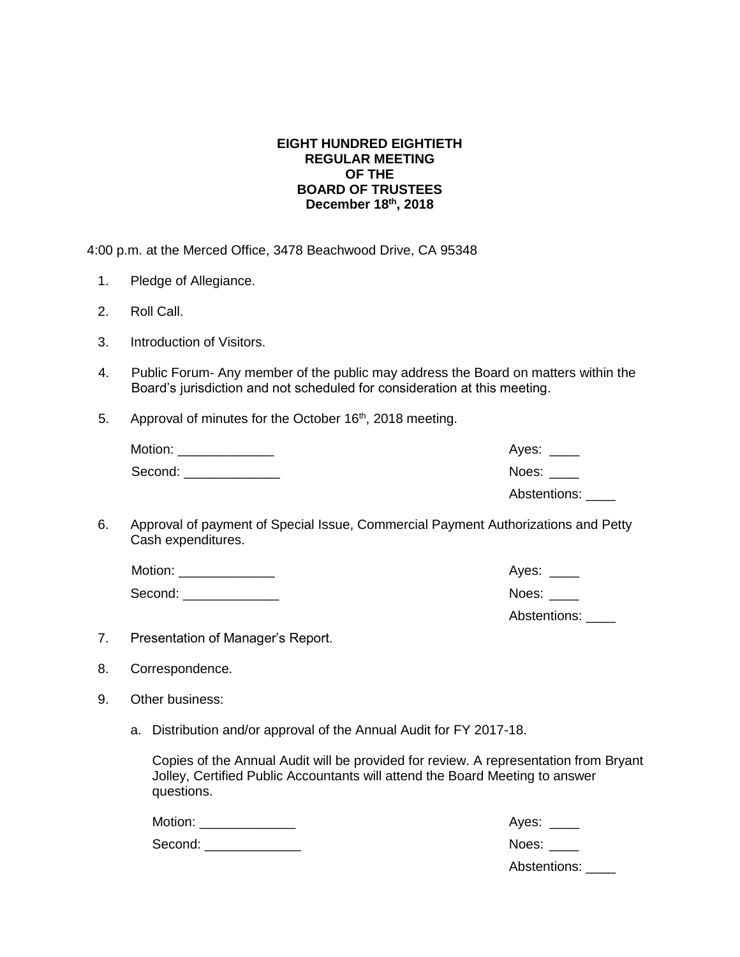## **EIGHT HUNDRED EIGHTIETH REGULAR MEETING OF THE BOARD OF TRUSTEES December 18 th, 2018**

4:00 p.m. at the Merced Office, 3478 Beachwood Drive, CA 95348

- 1. Pledge of Allegiance.
- 2. Roll Call.
- 3. Introduction of Visitors.
- 4. Public Forum- Any member of the public may address the Board on matters within the Board's jurisdiction and not scheduled for consideration at this meeting.
- 5. Approval of minutes for the October 16<sup>th</sup>, 2018 meeting.

| Motion: | Ayes: ____   |
|---------|--------------|
| Second: | Noes: Noes   |
|         | Abstentions: |

6. Approval of payment of Special Issue, Commercial Payment Authorizations and Petty Cash expenditures.

| Motion: | Ayes:        |
|---------|--------------|
| Second: | Noes:        |
|         | Abstentions: |

- 7. Presentation of Manager's Report.
- 8. Correspondence.
- 9. Other business:
	- a. Distribution and/or approval of the Annual Audit for FY 2017-18.

Copies of the Annual Audit will be provided for review. A representation from Bryant Jolley, Certified Public Accountants will attend the Board Meeting to answer questions.

| Motion: | Ayes: $\_\_$ |
|---------|--------------|
| Second: | Noes:        |
|         | Abstentions: |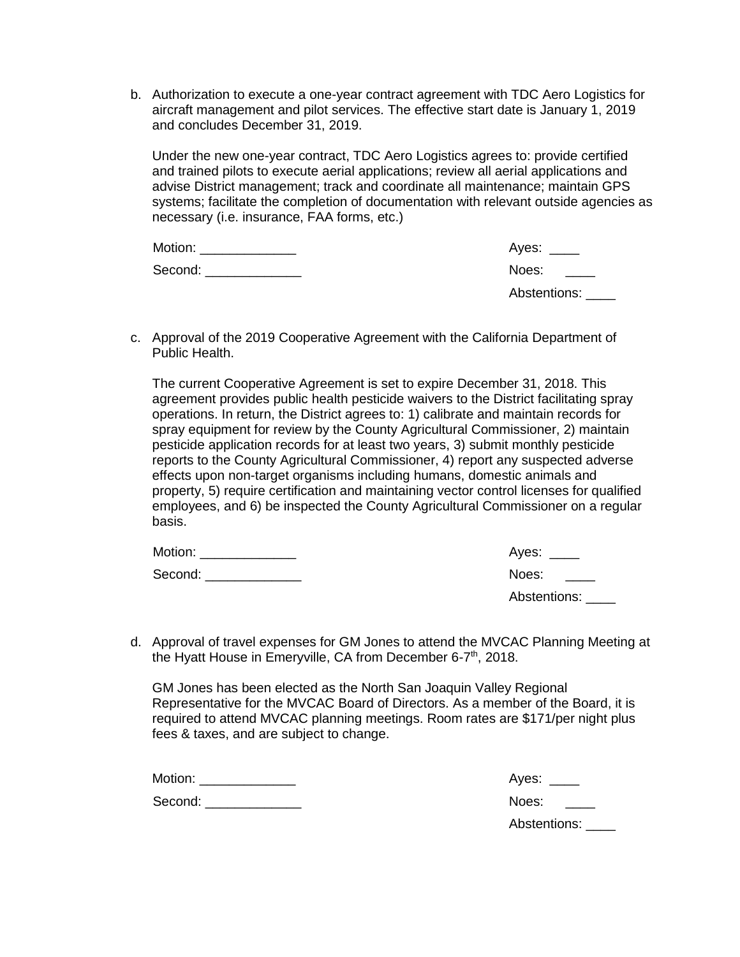b. Authorization to execute a one-year contract agreement with TDC Aero Logistics for aircraft management and pilot services. The effective start date is January 1, 2019 and concludes December 31, 2019.

Under the new one-year contract, TDC Aero Logistics agrees to: provide certified and trained pilots to execute aerial applications; review all aerial applications and advise District management; track and coordinate all maintenance; maintain GPS systems; facilitate the completion of documentation with relevant outside agencies as necessary (i.e. insurance, FAA forms, etc.)

| Motion: | Ayes: $\_\_$ |
|---------|--------------|
| Second: | Noes:        |
|         | Abstentions: |

c. Approval of the 2019 Cooperative Agreement with the California Department of Public Health.

The current Cooperative Agreement is set to expire December 31, 2018. This agreement provides public health pesticide waivers to the District facilitating spray operations. In return, the District agrees to: 1) calibrate and maintain records for spray equipment for review by the County Agricultural Commissioner, 2) maintain pesticide application records for at least two years, 3) submit monthly pesticide reports to the County Agricultural Commissioner, 4) report any suspected adverse effects upon non-target organisms including humans, domestic animals and property, 5) require certification and maintaining vector control licenses for qualified employees, and 6) be inspected the County Agricultural Commissioner on a regular basis.

| Motion: | Ayes: ____        |
|---------|-------------------|
| Second: | Noes:             |
|         | Abstentions: ____ |

d. Approval of travel expenses for GM Jones to attend the MVCAC Planning Meeting at the Hyatt House in Emeryville, CA from December 6-7<sup>th</sup>, 2018.

GM Jones has been elected as the North San Joaquin Valley Regional Representative for the MVCAC Board of Directors. As a member of the Board, it is required to attend MVCAC planning meetings. Room rates are \$171/per night plus fees & taxes, and are subject to change.

Motion: **Western Ayes: Ayes: 2008** 

Second: \_\_\_\_\_\_\_\_\_\_\_\_\_ Noes: \_\_\_\_

| Aves: |  |
|-------|--|
|-------|--|

Abstentions: \_\_\_\_